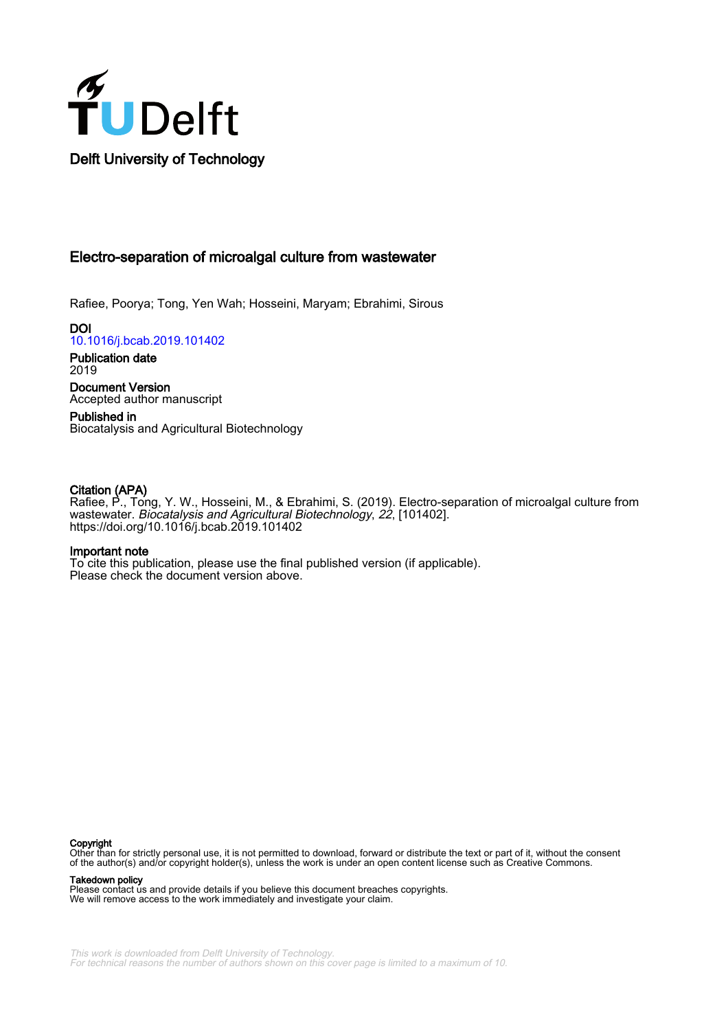

# Electro-separation of microalgal culture from wastewater

Rafiee, Poorya; Tong, Yen Wah; Hosseini, Maryam; Ebrahimi, Sirous

**DOI** [10.1016/j.bcab.2019.101402](https://doi.org/10.1016/j.bcab.2019.101402)

Publication date 2019

Document Version Accepted author manuscript

Published in Biocatalysis and Agricultural Biotechnology

### Citation (APA)

Rafiee, P., Tong, Y. W., Hosseini, M., & Ebrahimi, S. (2019). Electro-separation of microalgal culture from wastewater. Biocatalysis and Agricultural Biotechnology, 22, [101402]. <https://doi.org/10.1016/j.bcab.2019.101402>

#### Important note

To cite this publication, please use the final published version (if applicable). Please check the document version above.

#### Copyright

Other than for strictly personal use, it is not permitted to download, forward or distribute the text or part of it, without the consent of the author(s) and/or copyright holder(s), unless the work is under an open content license such as Creative Commons.

Takedown policy

Please contact us and provide details if you believe this document breaches copyrights. We will remove access to the work immediately and investigate your claim.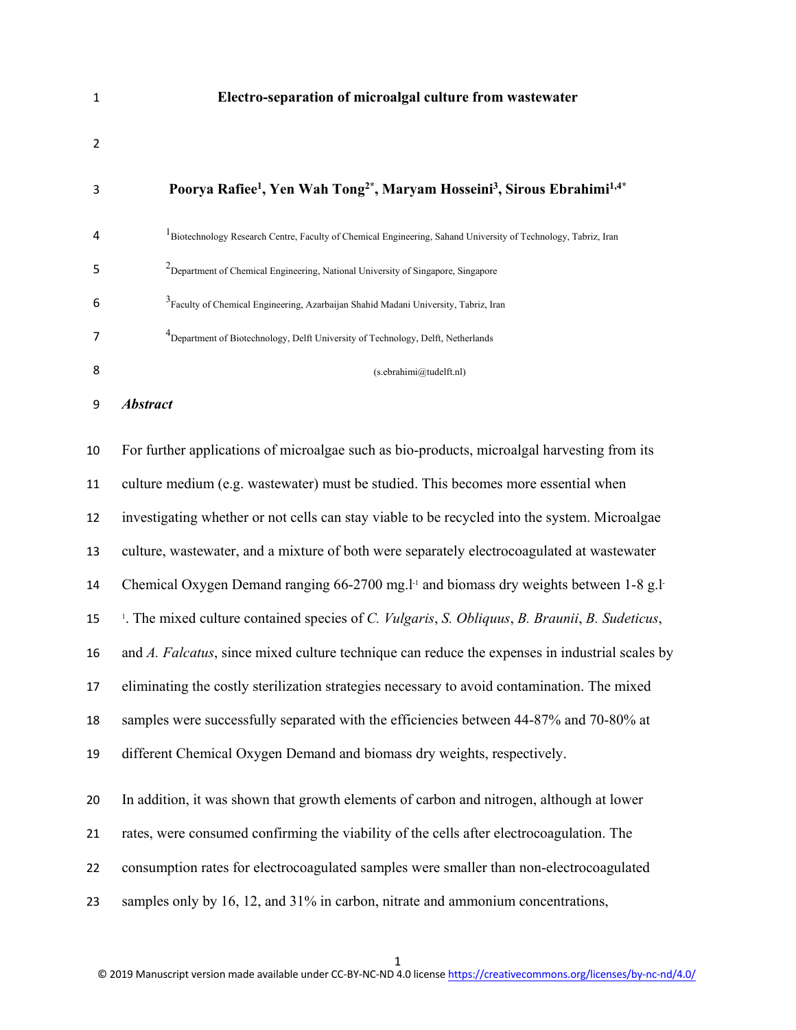| $\mathbf{1}$   | Electro-separation of microalgal culture from wastewater                                                                                  |
|----------------|-------------------------------------------------------------------------------------------------------------------------------------------|
| $\overline{2}$ |                                                                                                                                           |
| 3              | Poorya Rafiee <sup>1</sup> , Yen Wah Tong <sup>2*</sup> , Maryam Hosseini <sup>3</sup> , Sirous Ebrahimi <sup>1,4*</sup>                  |
| 4              | <sup>1</sup> Biotechnology Research Centre, Faculty of Chemical Engineering, Sahand University of Technology, Tabriz, Iran                |
| 5              | <sup>2</sup> Department of Chemical Engineering, National University of Singapore, Singapore                                              |
| 6              | <sup>3</sup> Faculty of Chemical Engineering, Azarbaijan Shahid Madani University, Tabriz, Iran                                           |
| 7              | <sup>4</sup> Department of Biotechnology, Delft University of Technology, Delft, Netherlands                                              |
| 8              | (s.ebrahimi@tudelft.nl)                                                                                                                   |
| 9              | <b>Abstract</b>                                                                                                                           |
| 10             | For further applications of microalgae such as bio-products, microalgal harvesting from its                                               |
| 11             | culture medium (e.g. wastewater) must be studied. This becomes more essential when                                                        |
| 12             | investigating whether or not cells can stay viable to be recycled into the system. Microalgae                                             |
| 13             | culture, wastewater, and a mixture of both were separately electrocoagulated at wastewater                                                |
| 14             | Chemical Oxygen Demand ranging 66-2700 mg. <sup>1-1</sup> and biomass dry weights between 1-8 g.l                                         |
| 15             | <sup>1</sup> . The mixed culture contained species of <i>C. Vulgaris</i> , <i>S. Obliquus</i> , <i>B. Braunii</i> , <i>B. Sudeticus</i> , |
| 16             | and A. Falcatus, since mixed culture technique can reduce the expenses in industrial scales by                                            |
| 17             | eliminating the costly sterilization strategies necessary to avoid contamination. The mixed                                               |
| 18             | samples were successfully separated with the efficiencies between 44-87% and 70-80% at                                                    |
| 19             | different Chemical Oxygen Demand and biomass dry weights, respectively.                                                                   |
| 20             | In addition, it was shown that growth elements of carbon and nitrogen, although at lower                                                  |
| 21             | rates, were consumed confirming the viability of the cells after electrocoagulation. The                                                  |
| 22             | consumption rates for electrocoagulated samples were smaller than non-electrocoagulated                                                   |
| 23             | samples only by 16, 12, and 31% in carbon, nitrate and ammonium concentrations,                                                           |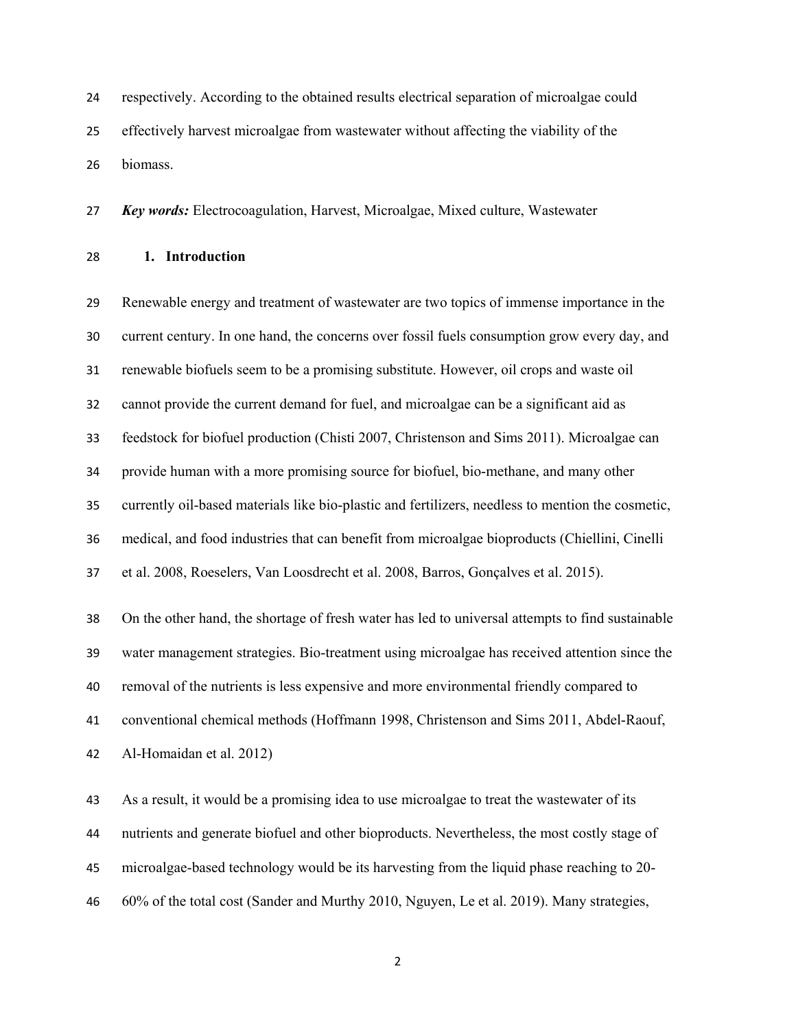respectively. According to the obtained results electrical separation of microalgae could effectively harvest microalgae from wastewater without affecting the viability of the biomass.

*Key words:* Electrocoagulation, Harvest, Microalgae, Mixed culture, Wastewater

**1. Introduction** 

 Renewable energy and treatment of wastewater are two topics of immense importance in the current century. In one hand, the concerns over fossil fuels consumption grow every day, and renewable biofuels seem to be a promising substitute. However, oil crops and waste oil cannot provide the current demand for fuel, and microalgae can be a significant aid as feedstock for biofuel production (Chisti 2007, Christenson and Sims 2011). Microalgae can provide human with a more promising source for biofuel, bio-methane, and many other currently oil-based materials like bio-plastic and fertilizers, needless to mention the cosmetic, medical, and food industries that can benefit from microalgae bioproducts (Chiellini, Cinelli et al. 2008, Roeselers, Van Loosdrecht et al. 2008, Barros, Gonçalves et al. 2015). On the other hand, the shortage of fresh water has led to universal attempts to find sustainable water management strategies. Bio-treatment using microalgae has received attention since the removal of the nutrients is less expensive and more environmental friendly compared to conventional chemical methods (Hoffmann 1998, Christenson and Sims 2011, Abdel-Raouf, Al-Homaidan et al. 2012)

 As a result, it would be a promising idea to use microalgae to treat the wastewater of its nutrients and generate biofuel and other bioproducts. Nevertheless, the most costly stage of microalgae-based technology would be its harvesting from the liquid phase reaching to 20- 60% of the total cost (Sander and Murthy 2010, Nguyen, Le et al. 2019). Many strategies,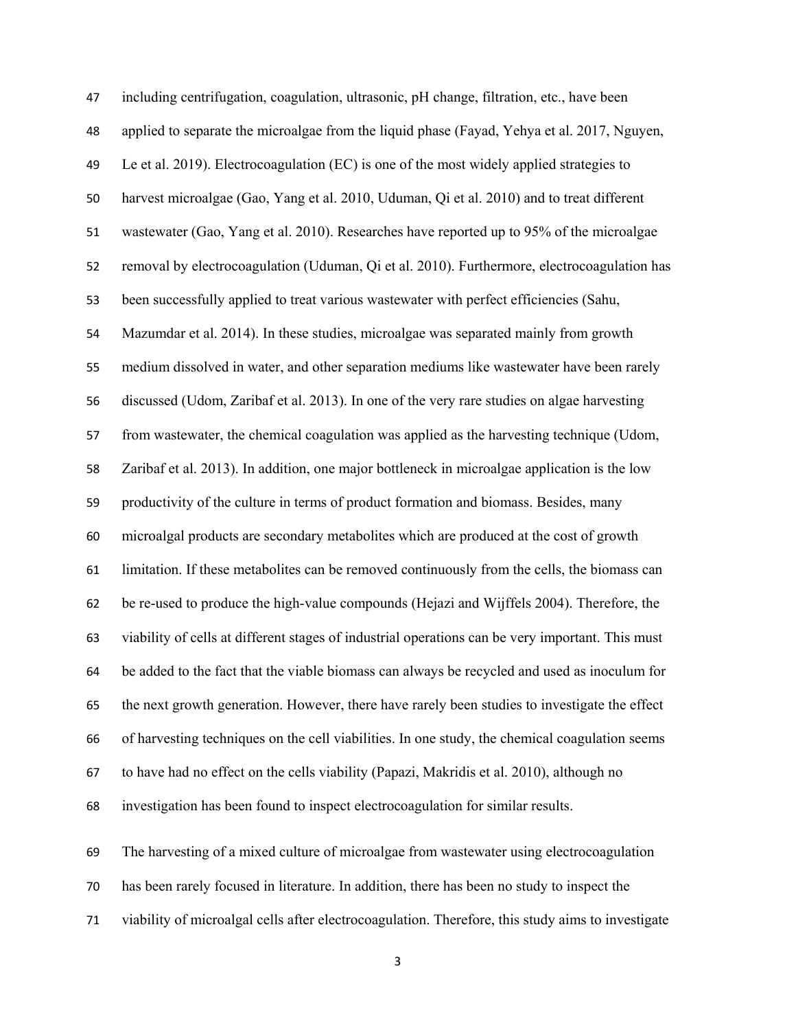| 47 | including centrifugation, coagulation, ultrasonic, pH change, filtration, etc., have been        |
|----|--------------------------------------------------------------------------------------------------|
| 48 | applied to separate the microalgae from the liquid phase (Fayad, Yehya et al. 2017, Nguyen,      |
| 49 | Le et al. 2019). Electrocoagulation (EC) is one of the most widely applied strategies to         |
| 50 | harvest microalgae (Gao, Yang et al. 2010, Uduman, Qi et al. 2010) and to treat different        |
| 51 | wastewater (Gao, Yang et al. 2010). Researches have reported up to 95% of the microalgae         |
| 52 | removal by electrocoagulation (Uduman, Qi et al. 2010). Furthermore, electrocoagulation has      |
| 53 | been successfully applied to treat various wastewater with perfect efficiencies (Sahu,           |
| 54 | Mazumdar et al. 2014). In these studies, microalgae was separated mainly from growth             |
| 55 | medium dissolved in water, and other separation mediums like wastewater have been rarely         |
| 56 | discussed (Udom, Zaribaf et al. 2013). In one of the very rare studies on algae harvesting       |
| 57 | from wastewater, the chemical coagulation was applied as the harvesting technique (Udom,         |
| 58 | Zaribaf et al. 2013). In addition, one major bottleneck in microalgae application is the low     |
| 59 | productivity of the culture in terms of product formation and biomass. Besides, many             |
| 60 | microalgal products are secondary metabolites which are produced at the cost of growth           |
| 61 | limitation. If these metabolites can be removed continuously from the cells, the biomass can     |
| 62 | be re-used to produce the high-value compounds (Hejazi and Wijffels 2004). Therefore, the        |
| 63 | viability of cells at different stages of industrial operations can be very important. This must |
| 64 | be added to the fact that the viable biomass can always be recycled and used as inoculum for     |
| 65 | the next growth generation. However, there have rarely been studies to investigate the effect    |
| 66 | of harvesting techniques on the cell viabilities. In one study, the chemical coagulation seems   |
| 67 | to have had no effect on the cells viability (Papazi, Makridis et al. 2010), although no         |
| 68 | investigation has been found to inspect electrocoagulation for similar results.                  |
|    |                                                                                                  |
| 69 | The harvesting of a mixed culture of microalgae from wastewater using electrocoagulation         |
| 70 | has been rarely focused in literature. In addition, there has been no study to inspect the       |

viability of microalgal cells after electrocoagulation. Therefore, this study aims to investigate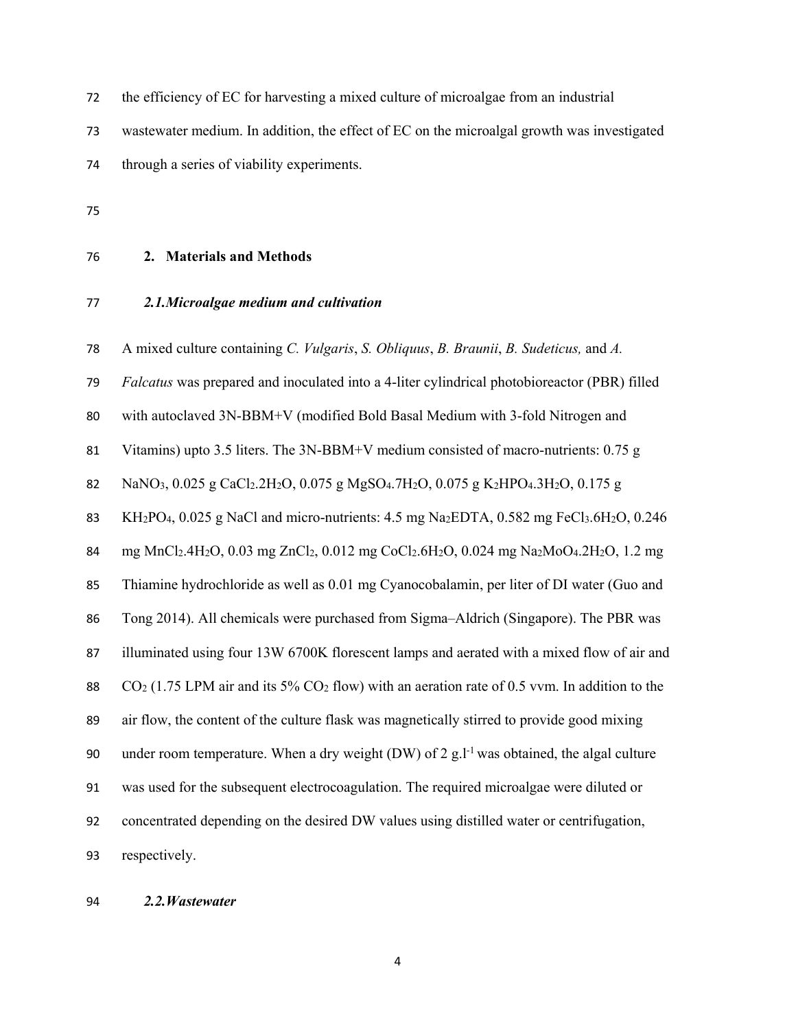the efficiency of EC for harvesting a mixed culture of microalgae from an industrial wastewater medium. In addition, the effect of EC on the microalgal growth was investigated through a series of viability experiments.

- **2. Materials and Methods**
- *2.1.Microalgae medium and cultivation*

A mixed culture containing *C. Vulgaris*, *S. Obliquus*, *B. Braunii*, *B. Sudeticus,* and *A.* 

*Falcatus* was prepared and inoculated into a 4-liter cylindrical photobioreactor (PBR) filled

with autoclaved 3N-BBM+V (modified Bold Basal Medium with 3-fold Nitrogen and

Vitamins) upto 3.5 liters. The 3N-BBM+V medium consisted of macro-nutrients: 0.75 g

82 NaNO<sub>3</sub>,  $0.025$  g CaCl<sub>2</sub>.2H<sub>2</sub>O,  $0.075$  g MgSO<sub>4</sub>.7H<sub>2</sub>O,  $0.075$  g K<sub>2</sub>HPO<sub>4</sub>.3H<sub>2</sub>O,  $0.175$  g

83 KH<sub>2</sub>PO<sub>4</sub>, 0.025 g NaCl and micro-nutrients: 4.5 mg Na<sub>2</sub>EDTA, 0.582 mg FeCl<sub>3</sub>.6H<sub>2</sub>O, 0.246

mg MnCl2.4H2O, 0.03 mg ZnCl2, 0.012 mg CoCl2.6H2O, 0.024 mg Na2MoO4.2H2O, 1.2 mg

Thiamine hydrochloride as well as 0.01 mg Cyanocobalamin, per liter of DI water (Guo and

Tong 2014). All chemicals were purchased from Sigma–Aldrich (Singapore). The PBR was

illuminated using four 13W 6700K florescent lamps and aerated with a mixed flow of air and

CO2 (1.75 LPM air and its 5% CO2 flow) with an aeration rate of 0.5 vvm. In addition to the

air flow, the content of the culture flask was magnetically stirred to provide good mixing

90 under room temperature. When a dry weight (DW) of 2 g.<sup>1-1</sup> was obtained, the algal culture

was used for the subsequent electrocoagulation. The required microalgae were diluted or

concentrated depending on the desired DW values using distilled water or centrifugation,

respectively.

### *2.2.Wastewater*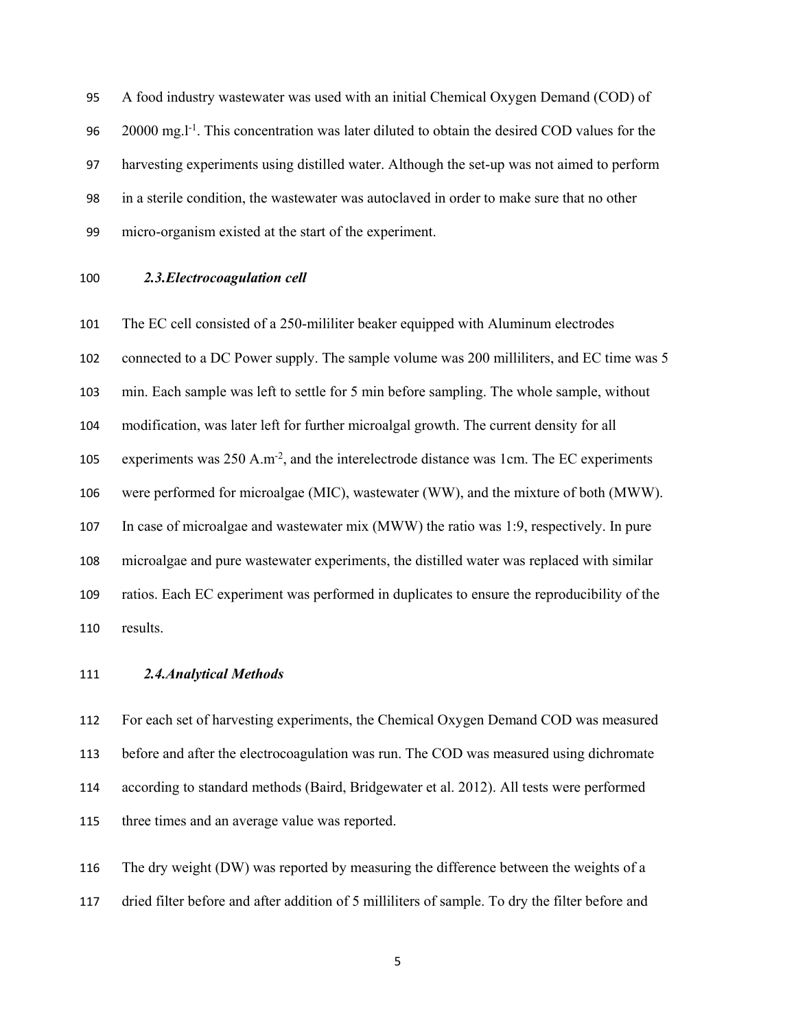A food industry wastewater was used with an initial Chemical Oxygen Demand (COD) of  $20000 \text{ mg}$ . This concentration was later diluted to obtain the desired COD values for the harvesting experiments using distilled water. Although the set-up was not aimed to perform in a sterile condition, the wastewater was autoclaved in order to make sure that no other micro-organism existed at the start of the experiment.

### *2.3.Electrocoagulation cell*

 The EC cell consisted of a 250-mililiter beaker equipped with Aluminum electrodes 102 connected to a DC Power supply. The sample volume was 200 milliliters, and EC time was 5 min. Each sample was left to settle for 5 min before sampling. The whole sample, without modification, was later left for further microalgal growth. The current density for all 105 experiments was  $250 \text{ A.m}^2$ , and the interelectrode distance was 1cm. The EC experiments were performed for microalgae (MIC), wastewater (WW), and the mixture of both (MWW). In case of microalgae and wastewater mix (MWW) the ratio was 1:9, respectively. In pure microalgae and pure wastewater experiments, the distilled water was replaced with similar ratios. Each EC experiment was performed in duplicates to ensure the reproducibility of the results.

#### *2.4.Analytical Methods*

 For each set of harvesting experiments, the Chemical Oxygen Demand COD was measured before and after the electrocoagulation was run. The COD was measured using dichromate according to standard methods (Baird, Bridgewater et al. 2012). All tests were performed three times and an average value was reported.

 The dry weight (DW) was reported by measuring the difference between the weights of a dried filter before and after addition of 5 milliliters of sample. To dry the filter before and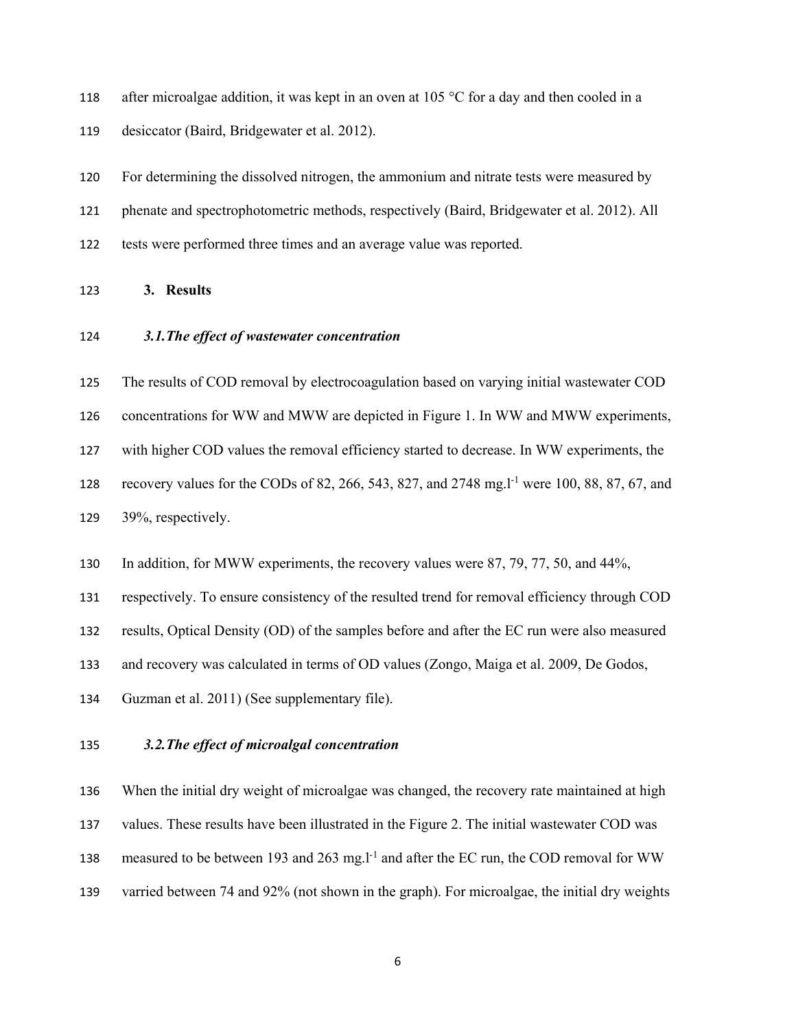118 after microalgae addition, it was kept in an oven at 105  $\degree$ C for a day and then cooled in a

desiccator (Baird, Bridgewater et al. 2012).

 For determining the dissolved nitrogen, the ammonium and nitrate tests were measured by phenate and spectrophotometric methods, respectively (Baird, Bridgewater et al. 2012). All tests were performed three times and an average value was reported.

**3. Results** 

*3.1.The effect of wastewater concentration* 

The results of COD removal by electrocoagulation based on varying initial wastewater COD

concentrations for WW and MWW are depicted in Figure 1. In WW and MWW experiments,

with higher COD values the removal efficiency started to decrease. In WW experiments, the

128 recovery values for the CODs of 82, 266, 543, 827, and 2748 mg. 1<sup>-1</sup> were 100, 88, 87, 67, and 39%, respectively.

In addition, for MWW experiments, the recovery values were 87, 79, 77, 50, and 44%,

respectively. To ensure consistency of the resulted trend for removal efficiency through COD

results, Optical Density (OD) of the samples before and after the EC run were also measured

and recovery was calculated in terms of OD values (Zongo, Maiga et al. 2009, De Godos,

Guzman et al. 2011) (See supplementary file).

## *3.2.The effect of microalgal concentration*

 When the initial dry weight of microalgae was changed, the recovery rate maintained at high values. These results have been illustrated in the Figure 2. The initial wastewater COD was 138 measured to be between 193 and 263 mg.l<sup>-1</sup> and after the EC run, the COD removal for WW varried between 74 and 92% (not shown in the graph). For microalgae, the initial dry weights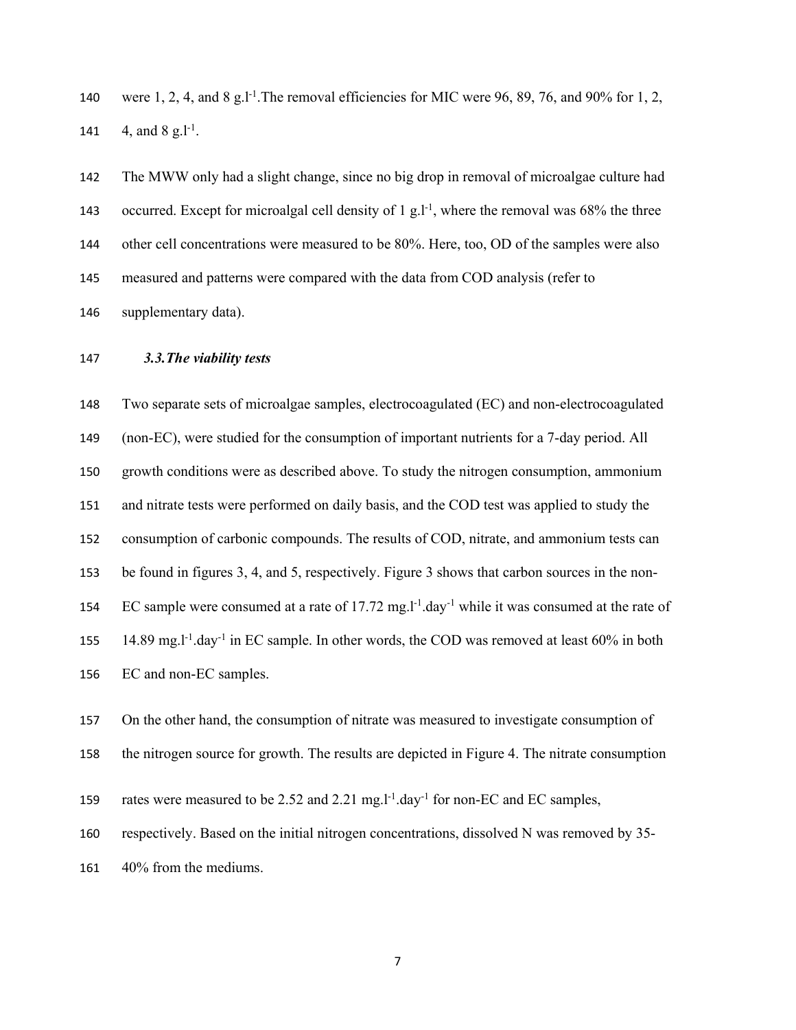140 were 1, 2, 4, and 8 g.l<sup>-1</sup>. The removal efficiencies for MIC were 96, 89, 76, and 90% for 1, 2, 141  $-4$ , and  $8 \text{ g.l}^{-1}$ .

 The MWW only had a slight change, since no big drop in removal of microalgae culture had 143 occurred. Except for microalgal cell density of 1 g.l<sup>-1</sup>, where the removal was 68% the three other cell concentrations were measured to be 80%. Here, too, OD of the samples were also measured and patterns were compared with the data from COD analysis (refer to supplementary data).

#### *3.3.The viability tests*

 Two separate sets of microalgae samples, electrocoagulated (EC) and non-electrocoagulated (non-EC), were studied for the consumption of important nutrients for a 7-day period. All growth conditions were as described above. To study the nitrogen consumption, ammonium and nitrate tests were performed on daily basis, and the COD test was applied to study the consumption of carbonic compounds. The results of COD, nitrate, and ammonium tests can be found in figures 3, 4, and 5, respectively. Figure 3 shows that carbon sources in the non-154 EC sample were consumed at a rate of 17.72 mg.<sup>1-1</sup>.day<sup>-1</sup> while it was consumed at the rate of 155 14.89 mg.l<sup>-1</sup>.day<sup>-1</sup> in EC sample. In other words, the COD was removed at least 60% in both EC and non-EC samples.

On the other hand, the consumption of nitrate was measured to investigate consumption of

the nitrogen source for growth. The results are depicted in Figure 4. The nitrate consumption

159 rates were measured to be 2.52 and 2.21 mg. $l^{-1}$ .day<sup>-1</sup> for non-EC and EC samples,

respectively. Based on the initial nitrogen concentrations, dissolved N was removed by 35-

40% from the mediums.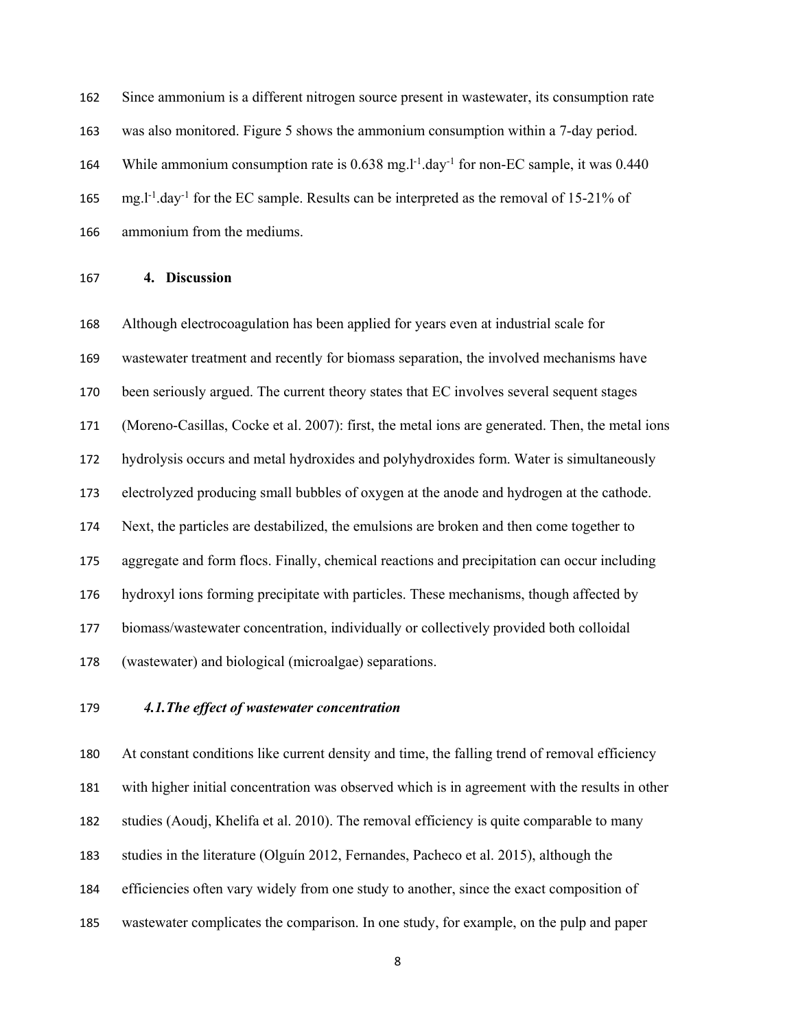Since ammonium is a different nitrogen source present in wastewater, its consumption rate was also monitored. Figure 5 shows the ammonium consumption within a 7-day period. 164 While ammonium consumption rate is  $0.638$  mg.<sup>1-1</sup>.day<sup>-1</sup> for non-EC sample, it was  $0.440$  $mg.l<sup>-1</sup> .day<sup>-1</sup>$  for the EC sample. Results can be interpreted as the removal of 15-21% of ammonium from the mediums.

### **4. Discussion**

 Although electrocoagulation has been applied for years even at industrial scale for wastewater treatment and recently for biomass separation, the involved mechanisms have been seriously argued. The current theory states that EC involves several sequent stages (Moreno-Casillas, Cocke et al. 2007): first, the metal ions are generated. Then, the metal ions hydrolysis occurs and metal hydroxides and polyhydroxides form. Water is simultaneously electrolyzed producing small bubbles of oxygen at the anode and hydrogen at the cathode. Next, the particles are destabilized, the emulsions are broken and then come together to aggregate and form flocs. Finally, chemical reactions and precipitation can occur including hydroxyl ions forming precipitate with particles. These mechanisms, though affected by biomass/wastewater concentration, individually or collectively provided both colloidal (wastewater) and biological (microalgae) separations.

## *4.1.The effect of wastewater concentration*

 At constant conditions like current density and time, the falling trend of removal efficiency with higher initial concentration was observed which is in agreement with the results in other studies (Aoudj, Khelifa et al. 2010). The removal efficiency is quite comparable to many studies in the literature (Olguín 2012, Fernandes, Pacheco et al. 2015), although the efficiencies often vary widely from one study to another, since the exact composition of wastewater complicates the comparison. In one study, for example, on the pulp and paper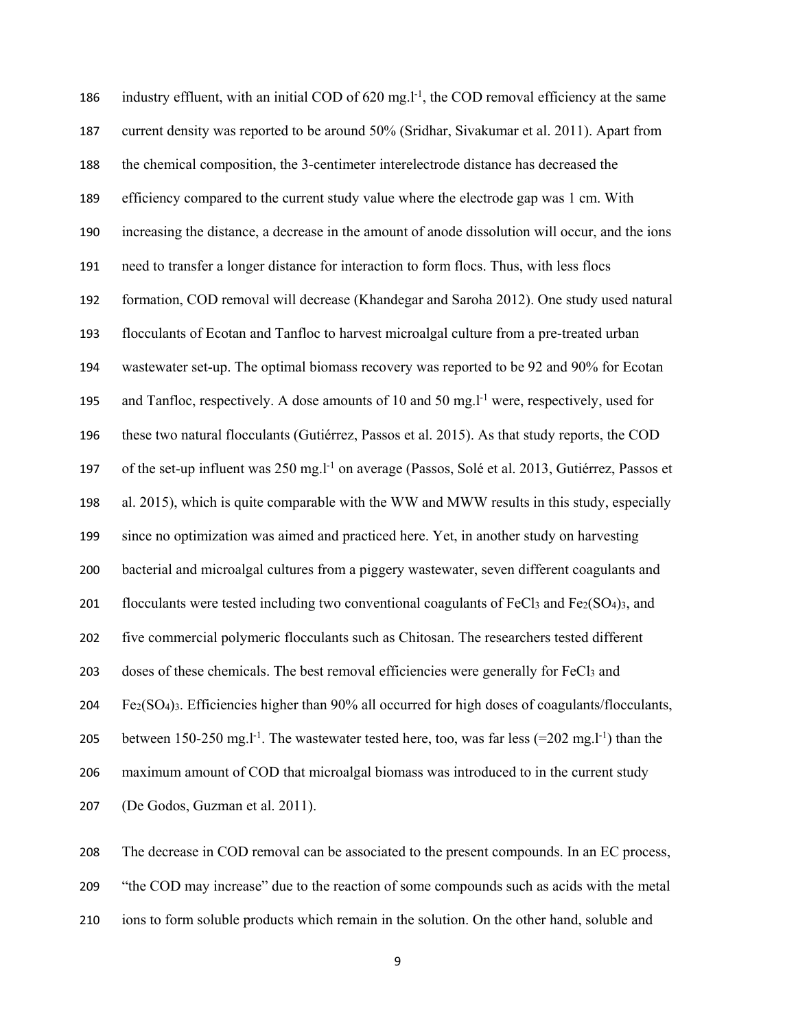186 industry effluent, with an initial COD of  $620 \text{ mg}$ .<sup>1-1</sup>, the COD removal efficiency at the same current density was reported to be around 50% (Sridhar, Sivakumar et al. 2011). Apart from the chemical composition, the 3-centimeter interelectrode distance has decreased the efficiency compared to the current study value where the electrode gap was 1 cm. With increasing the distance, a decrease in the amount of anode dissolution will occur, and the ions need to transfer a longer distance for interaction to form flocs. Thus, with less flocs formation, COD removal will decrease (Khandegar and Saroha 2012). One study used natural flocculants of Ecotan and Tanfloc to harvest microalgal culture from a pre-treated urban wastewater set-up. The optimal biomass recovery was reported to be 92 and 90% for Ecotan 195 and Tanfloc, respectively. A dose amounts of 10 and 50 mg. $l^{-1}$  were, respectively, used for these two natural flocculants (Gutiérrez, Passos et al. 2015). As that study reports, the COD 197 of the set-up influent was 250 mg.l<sup>-1</sup> on average (Passos, Solé et al. 2013, Gutiérrez, Passos et al. 2015), which is quite comparable with the WW and MWW results in this study, especially since no optimization was aimed and practiced here. Yet, in another study on harvesting bacterial and microalgal cultures from a piggery wastewater, seven different coagulants and 201 flocculants were tested including two conventional coagulants of  $FeCl<sub>3</sub>$  and  $Fe<sub>2</sub>(SO<sub>4</sub>)<sub>3</sub>$ , and five commercial polymeric flocculants such as Chitosan. The researchers tested different 203 doses of these chemicals. The best removal efficiencies were generally for FeCl<sub>3</sub> and Fe2(SO4)3. Efficiencies higher than 90% all occurred for high doses of coagulants/flocculants, 205 between 150-250 mg.<sup>1-1</sup>. The wastewater tested here, too, was far less  $(=202 \text{ mg.} \cdot \text{m/s})$  than the maximum amount of COD that microalgal biomass was introduced to in the current study (De Godos, Guzman et al. 2011).

 The decrease in COD removal can be associated to the present compounds. In an EC process, "the COD may increase" due to the reaction of some compounds such as acids with the metal

ions to form soluble products which remain in the solution. On the other hand, soluble and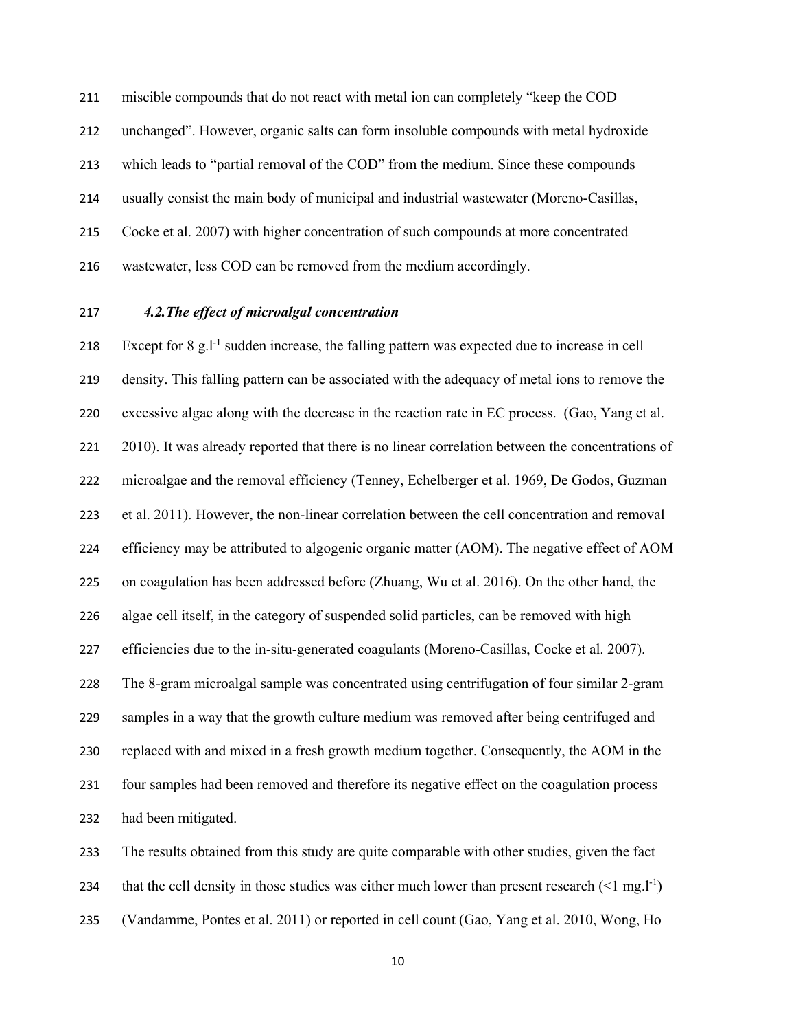miscible compounds that do not react with metal ion can completely "keep the COD unchanged". However, organic salts can form insoluble compounds with metal hydroxide which leads to "partial removal of the COD" from the medium. Since these compounds usually consist the main body of municipal and industrial wastewater (Moreno-Casillas, Cocke et al. 2007) with higher concentration of such compounds at more concentrated wastewater, less COD can be removed from the medium accordingly.

### *4.2.The effect of microalgal concentration*

218 Except for  $8 \text{ g}$ .  $l^{-1}$  sudden increase, the falling pattern was expected due to increase in cell density. This falling pattern can be associated with the adequacy of metal ions to remove the excessive algae along with the decrease in the reaction rate in EC process. (Gao, Yang et al. 2010). It was already reported that there is no linear correlation between the concentrations of microalgae and the removal efficiency (Tenney, Echelberger et al. 1969, De Godos, Guzman et al. 2011). However, the non-linear correlation between the cell concentration and removal efficiency may be attributed to algogenic organic matter (AOM). The negative effect of AOM on coagulation has been addressed before (Zhuang, Wu et al. 2016). On the other hand, the algae cell itself, in the category of suspended solid particles, can be removed with high efficiencies due to the in-situ-generated coagulants (Moreno-Casillas, Cocke et al. 2007). The 8-gram microalgal sample was concentrated using centrifugation of four similar 2-gram samples in a way that the growth culture medium was removed after being centrifuged and replaced with and mixed in a fresh growth medium together. Consequently, the AOM in the four samples had been removed and therefore its negative effect on the coagulation process had been mitigated.

 The results obtained from this study are quite comparable with other studies, given the fact 234 that the cell density in those studies was either much lower than present research  $(1 \text{ mg.} l^{-1})$ (Vandamme, Pontes et al. 2011) or reported in cell count (Gao, Yang et al. 2010, Wong, Ho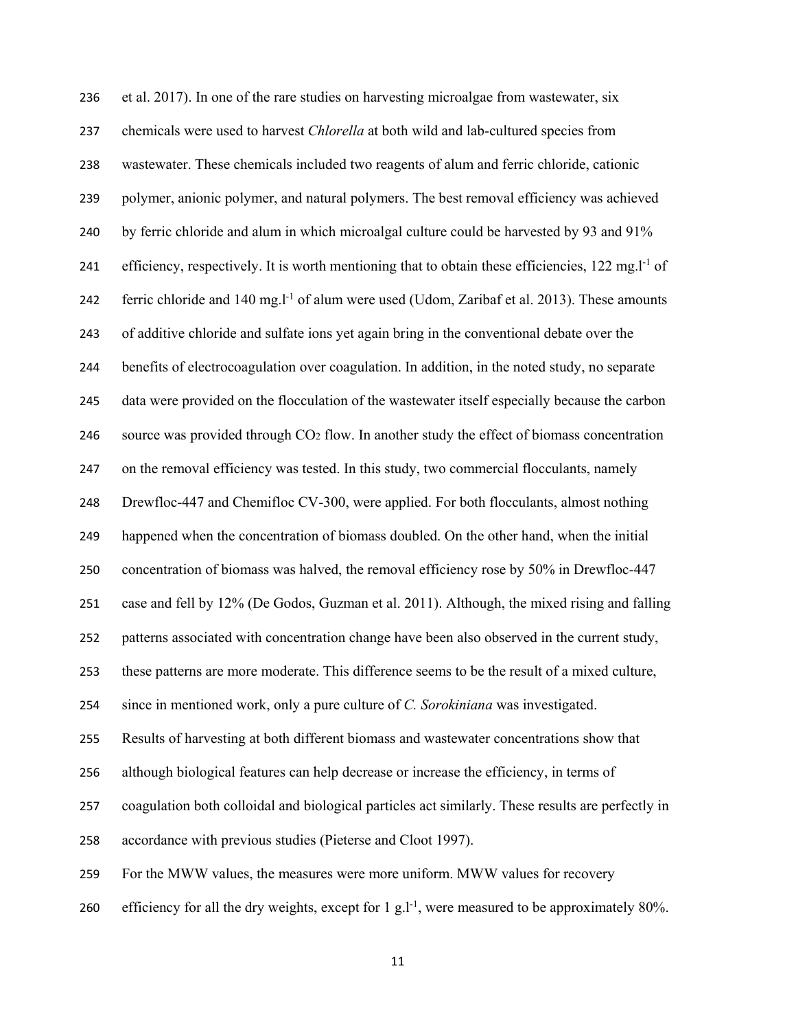et al. 2017). In one of the rare studies on harvesting microalgae from wastewater, six chemicals were used to harvest *Chlorella* at both wild and lab-cultured species from wastewater. These chemicals included two reagents of alum and ferric chloride, cationic polymer, anionic polymer, and natural polymers. The best removal efficiency was achieved by ferric chloride and alum in which microalgal culture could be harvested by 93 and 91% efficiency, respectively. It is worth mentioning that to obtain these efficiencies,  $122 \text{ mg}$ .<sup>1-1</sup> of 242 ferric chloride and  $140 \text{ mg}$ .  $l^{-1}$  of alum were used (Udom, Zaribaf et al. 2013). These amounts of additive chloride and sulfate ions yet again bring in the conventional debate over the benefits of electrocoagulation over coagulation. In addition, in the noted study, no separate data were provided on the flocculation of the wastewater itself especially because the carbon source was provided through CO2 flow. In another study the effect of biomass concentration on the removal efficiency was tested. In this study, two commercial flocculants, namely Drewfloc-447 and Chemifloc CV-300, were applied. For both flocculants, almost nothing happened when the concentration of biomass doubled. On the other hand, when the initial concentration of biomass was halved, the removal efficiency rose by 50% in Drewfloc-447 case and fell by 12% (De Godos, Guzman et al. 2011). Although, the mixed rising and falling patterns associated with concentration change have been also observed in the current study, these patterns are more moderate. This difference seems to be the result of a mixed culture, since in mentioned work, only a pure culture of *C. Sorokiniana* was investigated. Results of harvesting at both different biomass and wastewater concentrations show that although biological features can help decrease or increase the efficiency, in terms of coagulation both colloidal and biological particles act similarly. These results are perfectly in accordance with previous studies (Pieterse and Cloot 1997). For the MWW values, the measures were more uniform. MWW values for recovery 260 efficiency for all the dry weights, except for  $1 \text{ g.l}^{-1}$ , were measured to be approximately 80%.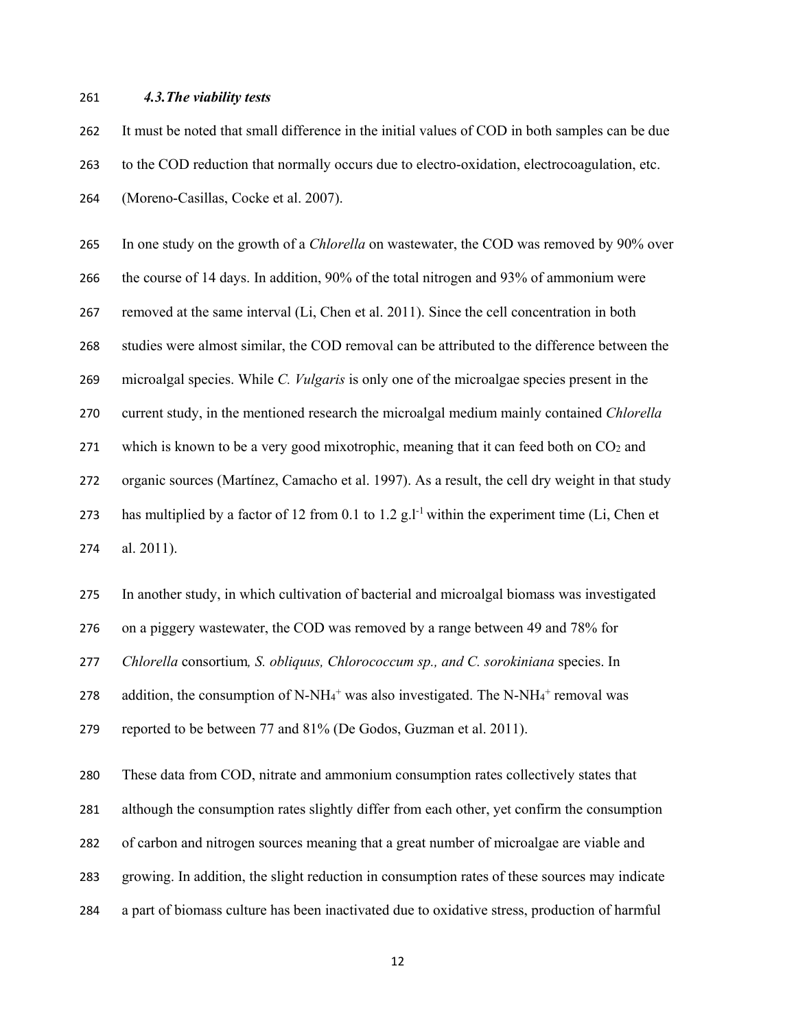#### *4.3.The viability tests*

 It must be noted that small difference in the initial values of COD in both samples can be due to the COD reduction that normally occurs due to electro-oxidation, electrocoagulation, etc. (Moreno-Casillas, Cocke et al. 2007).

 In one study on the growth of a *Chlorella* on wastewater, the COD was removed by 90% over the course of 14 days. In addition, 90% of the total nitrogen and 93% of ammonium were removed at the same interval (Li, Chen et al. 2011). Since the cell concentration in both studies were almost similar, the COD removal can be attributed to the difference between the microalgal species. While *C. Vulgaris* is only one of the microalgae species present in the current study, in the mentioned research the microalgal medium mainly contained *Chlorella*  271 which is known to be a very good mixotrophic, meaning that it can feed both on  $CO<sub>2</sub>$  and organic sources (Martínez, Camacho et al. 1997). As a result, the cell dry weight in that study 273 has multiplied by a factor of 12 from 0.1 to 1.2 g.<sup>1-1</sup> within the experiment time (Li, Chen et al. 2011).

In another study, in which cultivation of bacterial and microalgal biomass was investigated

on a piggery wastewater, the COD was removed by a range between 49 and 78% for

*Chlorella* consortium*, S. obliquus, Chlorococcum sp., and C. sorokiniana* species. In

278 addition, the consumption of N-NH $_4$ <sup>+</sup> was also investigated. The N-NH $_4$ <sup>+</sup> removal was

reported to be between 77 and 81% (De Godos, Guzman et al. 2011).

These data from COD, nitrate and ammonium consumption rates collectively states that

although the consumption rates slightly differ from each other, yet confirm the consumption

- of carbon and nitrogen sources meaning that a great number of microalgae are viable and
- growing. In addition, the slight reduction in consumption rates of these sources may indicate
- a part of biomass culture has been inactivated due to oxidative stress, production of harmful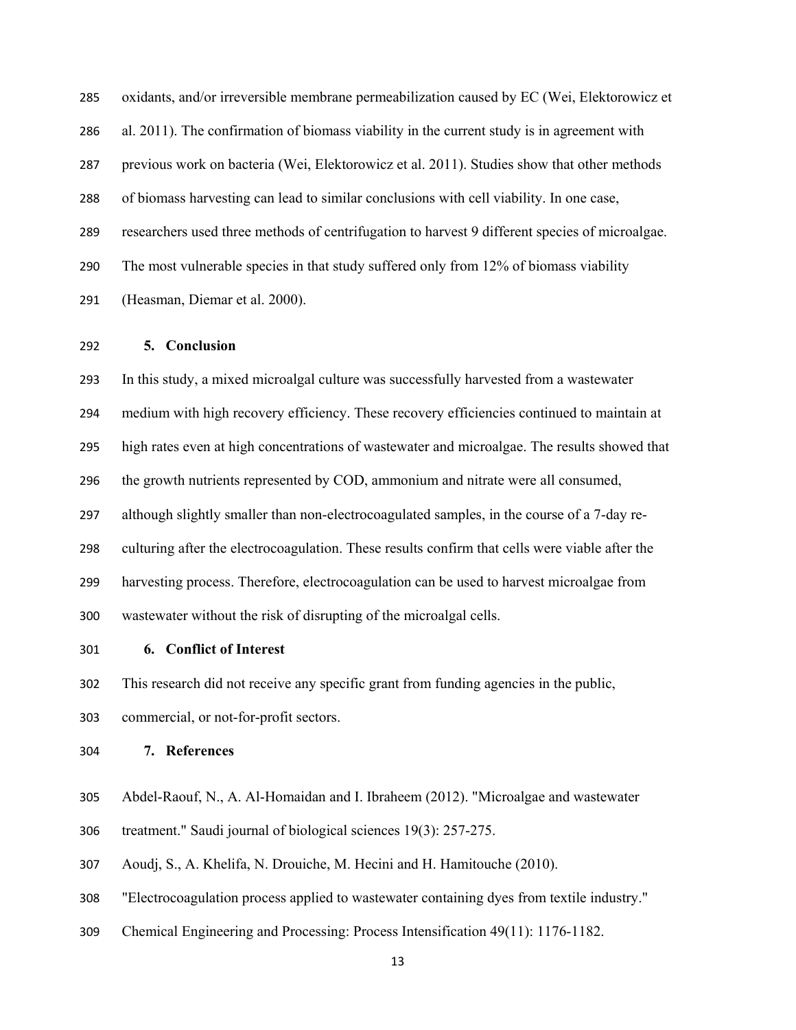oxidants, and/or irreversible membrane permeabilization caused by EC (Wei, Elektorowicz et al. 2011). The confirmation of biomass viability in the current study is in agreement with previous work on bacteria (Wei, Elektorowicz et al. 2011). Studies show that other methods of biomass harvesting can lead to similar conclusions with cell viability. In one case, researchers used three methods of centrifugation to harvest 9 different species of microalgae. The most vulnerable species in that study suffered only from 12% of biomass viability (Heasman, Diemar et al. 2000).

### **5. Conclusion**

 In this study, a mixed microalgal culture was successfully harvested from a wastewater medium with high recovery efficiency. These recovery efficiencies continued to maintain at high rates even at high concentrations of wastewater and microalgae. The results showed that the growth nutrients represented by COD, ammonium and nitrate were all consumed, although slightly smaller than non-electrocoagulated samples, in the course of a 7-day re- culturing after the electrocoagulation. These results confirm that cells were viable after the harvesting process. Therefore, electrocoagulation can be used to harvest microalgae from wastewater without the risk of disrupting of the microalgal cells.

**6. Conflict of Interest** 

This research did not receive any specific grant from funding agencies in the public,

commercial, or not-for-profit sectors.

**7. References** 

- Abdel-Raouf, N., A. Al-Homaidan and I. Ibraheem (2012). "Microalgae and wastewater
- treatment." Saudi journal of biological sciences 19(3): 257-275.
- Aoudj, S., A. Khelifa, N. Drouiche, M. Hecini and H. Hamitouche (2010).
- "Electrocoagulation process applied to wastewater containing dyes from textile industry."
- Chemical Engineering and Processing: Process Intensification 49(11): 1176-1182.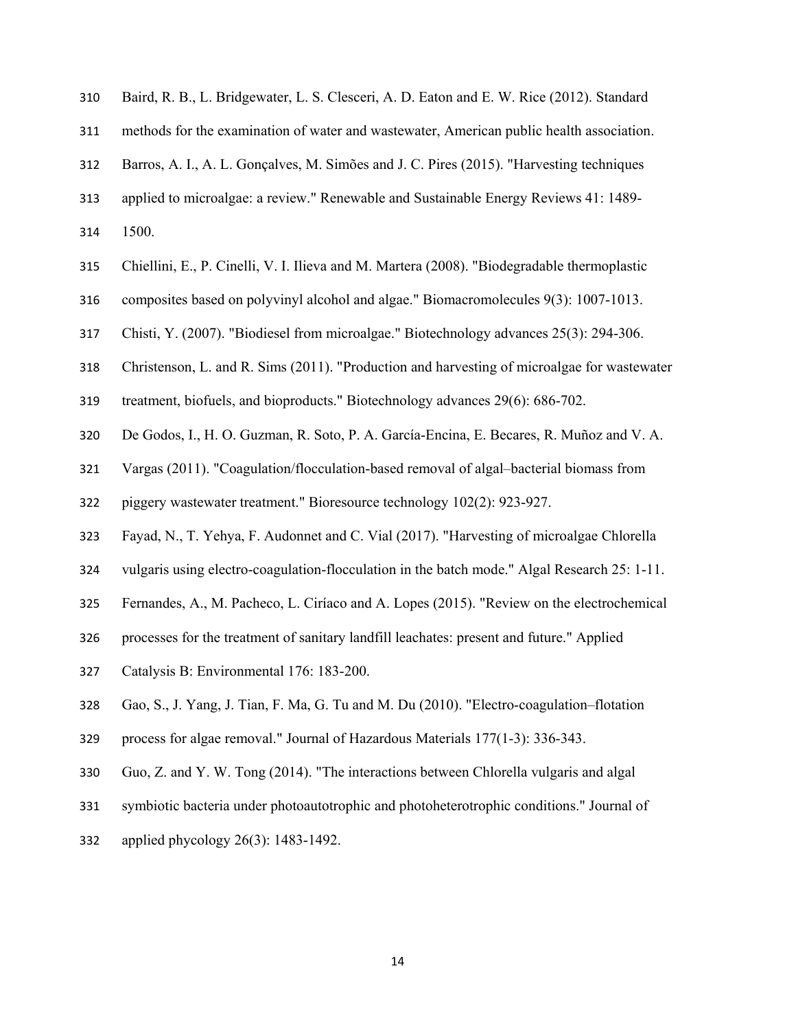|  |  |  | 310 Baird, R. B., L. Bridgewater, L. S. Clesceri, A. D. Eaton and E. W. Rice (2012). Standard |  |  |  |  |  |  |  |  |  |
|--|--|--|-----------------------------------------------------------------------------------------------|--|--|--|--|--|--|--|--|--|
|--|--|--|-----------------------------------------------------------------------------------------------|--|--|--|--|--|--|--|--|--|

methods for the examination of water and wastewater, American public health association.

Barros, A. I., A. L. Gonçalves, M. Simões and J. C. Pires (2015). "Harvesting techniques

- applied to microalgae: a review." Renewable and Sustainable Energy Reviews 41: 1489-
- 1500.
- Chiellini, E., P. Cinelli, V. I. Ilieva and M. Martera (2008). "Biodegradable thermoplastic
- composites based on polyvinyl alcohol and algae." Biomacromolecules 9(3): 1007-1013.
- Chisti, Y. (2007). "Biodiesel from microalgae." Biotechnology advances 25(3): 294-306.
- Christenson, L. and R. Sims (2011). "Production and harvesting of microalgae for wastewater

treatment, biofuels, and bioproducts." Biotechnology advances 29(6): 686-702.

- De Godos, I., H. O. Guzman, R. Soto, P. A. García-Encina, E. Becares, R. Muñoz and V. A.
- Vargas (2011). "Coagulation/flocculation-based removal of algal–bacterial biomass from

piggery wastewater treatment." Bioresource technology 102(2): 923-927.

- Fayad, N., T. Yehya, F. Audonnet and C. Vial (2017). "Harvesting of microalgae Chlorella
- vulgaris using electro-coagulation-flocculation in the batch mode." Algal Research 25: 1-11.
- Fernandes, A., M. Pacheco, L. Ciríaco and A. Lopes (2015). "Review on the electrochemical
- processes for the treatment of sanitary landfill leachates: present and future." Applied
- Catalysis B: Environmental 176: 183-200.
- Gao, S., J. Yang, J. Tian, F. Ma, G. Tu and M. Du (2010). "Electro-coagulation–flotation
- process for algae removal." Journal of Hazardous Materials 177(1-3): 336-343.
- Guo, Z. and Y. W. Tong (2014). "The interactions between Chlorella vulgaris and algal
- symbiotic bacteria under photoautotrophic and photoheterotrophic conditions." Journal of
- applied phycology 26(3): 1483-1492.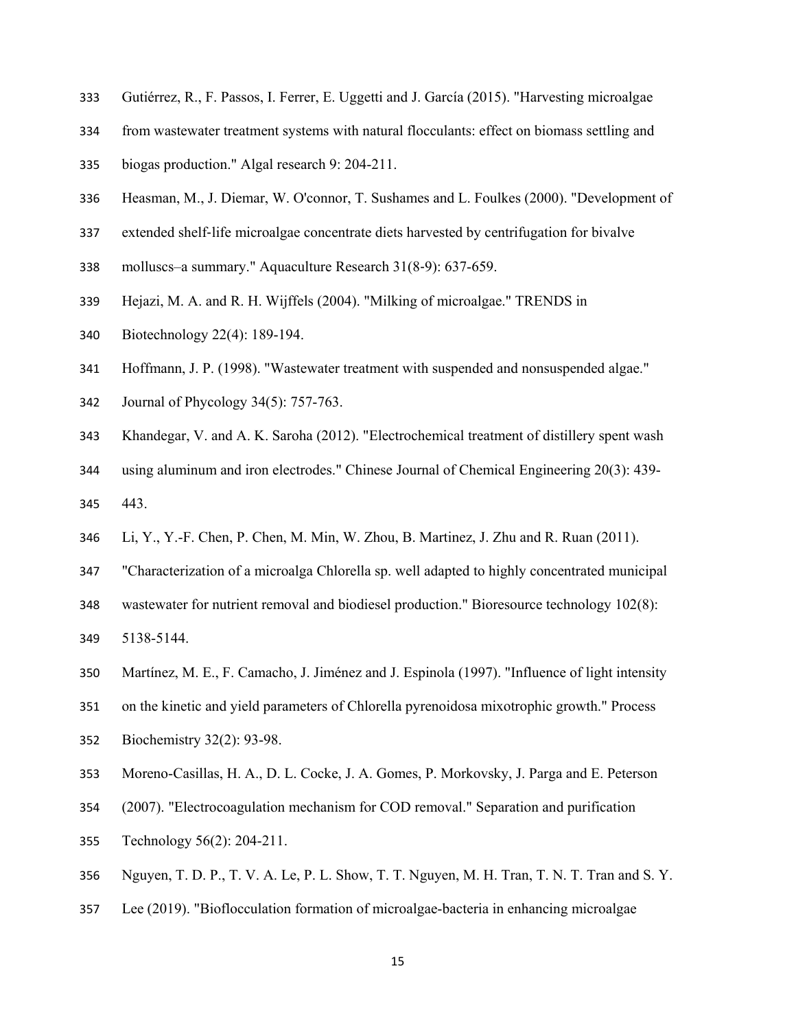- Gutiérrez, R., F. Passos, I. Ferrer, E. Uggetti and J. García (2015). "Harvesting microalgae
- from wastewater treatment systems with natural flocculants: effect on biomass settling and
- biogas production." Algal research 9: 204-211.
- Heasman, M., J. Diemar, W. O'connor, T. Sushames and L. Foulkes (2000). "Development of
- extended shelf-life microalgae concentrate diets harvested by centrifugation for bivalve
- molluscs–a summary." Aquaculture Research 31(8-9): 637-659.
- Hejazi, M. A. and R. H. Wijffels (2004). "Milking of microalgae." TRENDS in
- Biotechnology 22(4): 189-194.
- Hoffmann, J. P. (1998). "Wastewater treatment with suspended and nonsuspended algae."
- Journal of Phycology 34(5): 757-763.
- Khandegar, V. and A. K. Saroha (2012). "Electrochemical treatment of distillery spent wash
- using aluminum and iron electrodes." Chinese Journal of Chemical Engineering 20(3): 439- 443.
- Li, Y., Y.-F. Chen, P. Chen, M. Min, W. Zhou, B. Martinez, J. Zhu and R. Ruan (2011).
- "Characterization of a microalga Chlorella sp. well adapted to highly concentrated municipal
- wastewater for nutrient removal and biodiesel production." Bioresource technology 102(8):

5138-5144.

- Martínez, M. E., F. Camacho, J. Jiménez and J. Espinola (1997). "Influence of light intensity
- on the kinetic and yield parameters of Chlorella pyrenoidosa mixotrophic growth." Process
- Biochemistry 32(2): 93-98.
- Moreno-Casillas, H. A., D. L. Cocke, J. A. Gomes, P. Morkovsky, J. Parga and E. Peterson
- (2007). "Electrocoagulation mechanism for COD removal." Separation and purification
- Technology 56(2): 204-211.
- Nguyen, T. D. P., T. V. A. Le, P. L. Show, T. T. Nguyen, M. H. Tran, T. N. T. Tran and S. Y.
- Lee (2019). "Bioflocculation formation of microalgae-bacteria in enhancing microalgae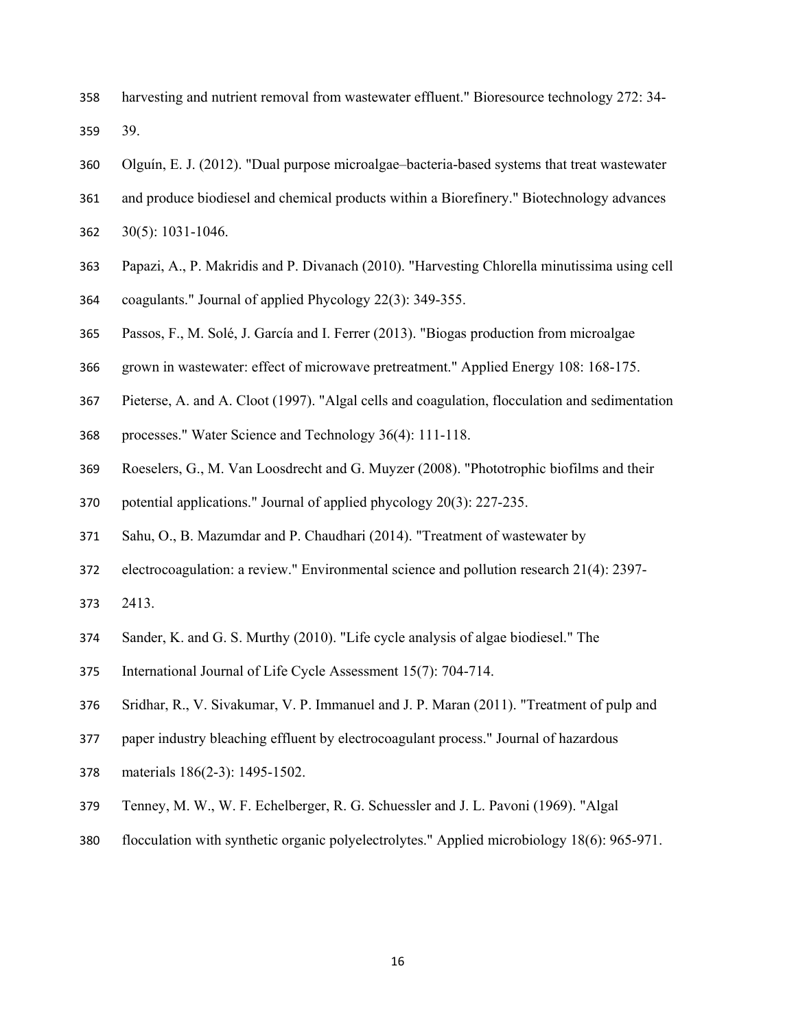- harvesting and nutrient removal from wastewater effluent." Bioresource technology 272: 34- 39.
- Olguín, E. J. (2012). "Dual purpose microalgae–bacteria-based systems that treat wastewater
- and produce biodiesel and chemical products within a Biorefinery." Biotechnology advances
- 30(5): 1031-1046.
- Papazi, A., P. Makridis and P. Divanach (2010). "Harvesting Chlorella minutissima using cell
- coagulants." Journal of applied Phycology 22(3): 349-355.
- Passos, F., M. Solé, J. García and I. Ferrer (2013). "Biogas production from microalgae
- grown in wastewater: effect of microwave pretreatment." Applied Energy 108: 168-175.
- Pieterse, A. and A. Cloot (1997). "Algal cells and coagulation, flocculation and sedimentation
- processes." Water Science and Technology 36(4): 111-118.
- Roeselers, G., M. Van Loosdrecht and G. Muyzer (2008). "Phototrophic biofilms and their
- potential applications." Journal of applied phycology 20(3): 227-235.
- Sahu, O., B. Mazumdar and P. Chaudhari (2014). "Treatment of wastewater by
- electrocoagulation: a review." Environmental science and pollution research 21(4): 2397-
- 2413.
- Sander, K. and G. S. Murthy (2010). "Life cycle analysis of algae biodiesel." The
- International Journal of Life Cycle Assessment 15(7): 704-714.
- Sridhar, R., V. Sivakumar, V. P. Immanuel and J. P. Maran (2011). "Treatment of pulp and
- paper industry bleaching effluent by electrocoagulant process." Journal of hazardous
- materials 186(2-3): 1495-1502.
- Tenney, M. W., W. F. Echelberger, R. G. Schuessler and J. L. Pavoni (1969). "Algal
- flocculation with synthetic organic polyelectrolytes." Applied microbiology 18(6): 965-971.